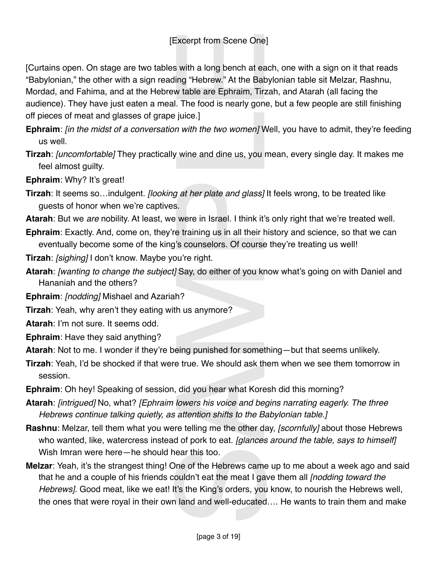## [Excerpt from Scene One]

[Curtains open. On stage are two tables with a long bench at each, one with a sign on it that reads "Babylonian," the other with a sign reading "Hebrew." At the Babylonian table sit Melzar, Rashnu, Mordad, and Fahima, and at the Hebrew table are Ephraim, Tirzah, and Atarah (all facing the audience). They have just eaten a meal. The food is nearly gone, but a few people are still finishing off pieces of meat and glasses of grape juice.] Excerpt from Scene One<br>
s with a long bench at ea<br>
s with a long bench at ea<br>
ling "Hebrew." At the Bak<br>
table are Ephraim, Tirz<br>
I. The food is nearly gone<br>
juice.]<br>
m with the two women] W<br>
y wine and dine us, you r<br>
g

- **Ephraim**: *[in the midst of a conversation with the two women]* Well, you have to admit, they're feeding us well.
- **Tirzah**: *[uncomfortable]* They practically wine and dine us, you mean, every single day. It makes me feel almost guilty.

**Ephraim**: Why? It's great!

- **Tirzah**: It seems so…indulgent. *[looking at her plate and glass]* It feels wrong, to be treated like guests of honor when we're captives.
- **Atarah**: But we *are* nobility. At least, we were in Israel. I think it's only right that we're treated well.
- **Ephraim**: Exactly. And, come on, they're training us in all their history and science, so that we can eventually become some of the king's counselors. Of course they're treating us well!
- **Tirzah**: *[sighing]* I don't know. Maybe you're right.
- **Atarah**: *[wanting to change the subject]* Say, do either of you know what's going on with Daniel and Hananiah and the others?
- **Ephraim**: *[nodding]* Mishael and Azariah?
- **Tirzah**: Yeah, why aren't they eating with us anymore?
- **Atarah**: I'm not sure. It seems odd.
- **Ephraim**: Have they said anything?
- **Atarah**: Not to me. I wonder if they're being punished for something—but that seems unlikely.
- **Tirzah**: Yeah, I'd be shocked if that were true. We should ask them when we see them tomorrow in session.
- **Ephraim**: Oh hey! Speaking of session, did you hear what Koresh did this morning?
- **Atarah**: *[intrigued]* No, what? *[Ephraim lowers his voice and begins narrating eagerly. The three Hebrews continue talking quietly, as attention shifts to the Babylonian table.]*
- **Rashnu**: Melzar, tell them what you were telling me the other day, *[scornfully]* about those Hebrews who wanted, like, watercress instead of pork to eat. *[glances around the table, says to himself]* Wish Imran were here—he should hear this too.
- **Melzar**: Yeah, it's the strangest thing! One of the Hebrews came up to me about a week ago and said that he and a couple of his friends couldn't eat the meat I gave them all *[nodding toward the Hebrews]*. Good meat, like we eat! It's the King's orders, you know, to nourish the Hebrews well, the ones that were royal in their own land and well-educated…. He wants to train them and make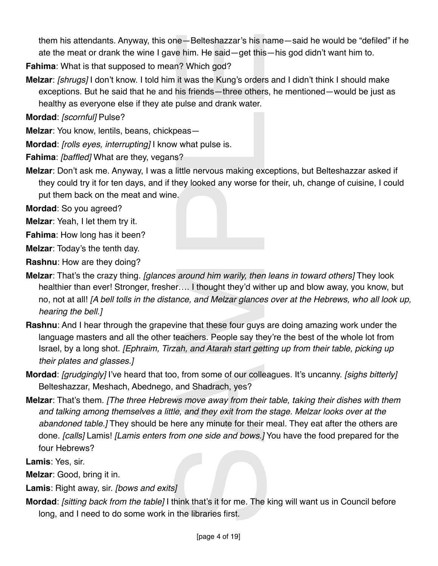them his attendants. Anyway, this one—Belteshazzar's his name—said he would be "defiled" if he ate the meat or drank the wine I gave him. He said—get this—his god didn't want him to.

**Fahima**: What is that supposed to mean? Which god?

**Melzar**: *[shrugs]* I don't know. I told him it was the Kung's orders and I didn't think I should make exceptions. But he said that he and his friends—three others, he mentioned—would be just as healthy as everyone else if they ate pulse and drank water.

**Mordad**: *[scornful]* Pulse?

**Melzar**: You know, lentils, beans, chickpeas—

**Mordad**: *[rolls eyes, interrupting]* I know what pulse is.

**Fahima**: *[baffled]* What are they, vegans?

**Melzar**: Don't ask me. Anyway, I was a little nervous making exceptions, but Belteshazzar asked if they could try it for ten days, and if they looked any worse for their, uh, change of cuisine, I could put them back on the meat and wine.

**Mordad**: So you agreed?

**Melzar**: Yeah, I let them try it.

**Fahima**: How long has it been?

**Melzar**: Today's the tenth day.

**Rashnu**: How are they doing?

- **Melzar**: That's the crazy thing. *[glances around him warily, then leans in toward others]* They look healthier than ever! Stronger, fresher…. I thought they'd wither up and blow away, you know, but no, not at all! *[A bell tolls in the distance, and Melzar glances over at the Hebrews, who all look up, hearing the bell.]*
- **Rashnu**: And I hear through the grapevine that these four guys are doing amazing work under the language masters and all the other teachers. People say they're the best of the whole lot from Israel, by a long shot. *[Ephraim, Tirzah, and Atarah start getting up from their table, picking up their plates and glasses.]*
- **Mordad**: *[grudgingly]* I've heard that too, from some of our colleagues. It's uncanny. *[sighs bitterly]*  Belteshazzar, Meshach, Abednego, and Shadrach, yes?
- **Melzar**: That's them. *[The three Hebrews move away from their table, taking their dishes with them and talking among themselves a little, and they exit from the stage. Melzar looks over at the abandoned table.]* They should be here any minute for their meal. They eat after the others are done. *[calls]* Lamis! *[Lamis enters from one side and bows.]* You have the food prepared for the four Hebrews? ne — Belteshazzar's his n<br>
we him. He said — get this<br>
n? Which god?<br>
it was the Kung's orders<br>
his friends — three others<br>
his friends — three others<br>
pulse and drank water.<br>
peas —<br>
what pulse is.<br>
s?<br>
little nervous mak

**Lamis**: Yes, sir.

**Melzar**: Good, bring it in.

**Lamis**: Right away, sir. *[bows and exits]*

**Mordad**: *[sitting back from the table]* I think that's it for me. The king will want us in Council before long, and I need to do some work in the libraries first.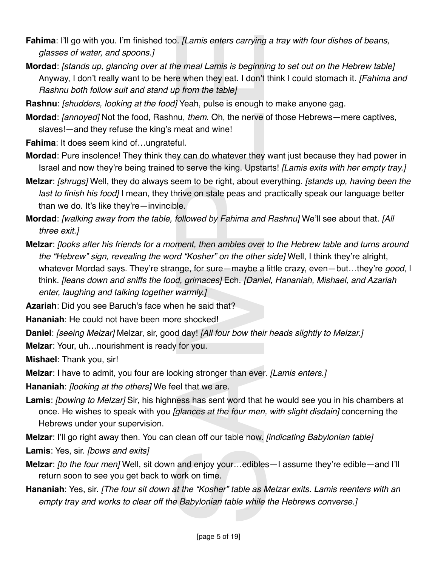- **Fahima**: I'll go with you. I'm finished too. *[Lamis enters carrying a tray with four dishes of beans, glasses of water, and spoons.]*
- **Mordad**: *[stands up, glancing over at the meal Lamis is beginning to set out on the Hebrew table]* Anyway, I don't really want to be here when they eat. I don't think I could stomach it. *[Fahima and Rashnu both follow suit and stand up from the table]*
- **Rashnu**: *[shudders, looking at the food]* Yeah, pulse is enough to make anyone gag.
- **Mordad**: *[annoyed]* Not the food, Rashnu, *them*. Oh, the nerve of those Hebrews—mere captives, slaves!—and they refuse the king's meat and wine!
- **Fahima**: It does seem kind of…ungrateful.
- **Mordad**: Pure insolence! They think they can do whatever they want just because they had power in Israel and now they're being trained to serve the king. Upstarts! *[Lamis exits with her empty tray.]*
- **Melzar**: *[shrugs]* Well, they do always seem to be right, about everything. *[stands up, having been the last to finish his food]* I mean, they thrive on stale peas and practically speak our language better than we do. It's like they're—invincible.
- **Mordad**: *[walking away from the table, followed by Fahima and Rashnu]* We'll see about that. *[All three exit.]*
- **Melzar**: *[looks after his friends for a moment, then ambles over to the Hebrew table and turns around the "Hebrew" sign, revealing the word "Kosher" on the other side]* Well, I think they're alright, whatever Mordad says. They're strange, for sure—maybe a little crazy, even—but…they're *good*, I think. *[leans down and sniffs the food, grimaces]* Ech. *[Daniel, Hananiah, Mishael, and Azariah enter, laughing and talking together warmly.]* b. [Lamis enters carrying<br>
the meal Lamis is beginnine<br>
the when they eat. I don't<br>
p from the table]<br>
if Yeah, pulse is enough i<br>
inu, them. Oh, the nerve<br>
the meat and wine!<br>
thul.<br>
the serve the king. Upsta<br>
the serve t
- **Azariah**: Did you see Baruch's face when he said that?
- **Hananiah**: He could not have been more shocked!
- **Daniel**: *[seeing Melzar]* Melzar, sir, good day! *[All four bow their heads slightly to Melzar.]*
- **Melzar**: Your, uh…nourishment is ready for you.
- **Mishael**: Thank you, sir!
- **Melzar**: I have to admit, you four are looking stronger than ever. *[Lamis enters.]*
- **Hananiah**: *[looking at the others]* We feel that we are.
- **Lamis**: *[bowing to Melzar]* Sir, his highness has sent word that he would see you in his chambers at once. He wishes to speak with you *[glances at the four men, with slight disdain]* concerning the Hebrews under your supervision.
- **Melzar**: I'll go right away then. You can clean off our table now. *[indicating Babylonian table]*
- **Lamis**: Yes, sir. *[bows and exits]*
- **Melzar**: *[to the four men]* Well, sit down and enjoy your…edibles—I assume they're edible—and I'll return soon to see you get back to work on time.
- **Hananiah**: Yes, sir. *[The four sit down at the "Kosher" table as Melzar exits. Lamis reenters with an empty tray and works to clear off the Babylonian table while the Hebrews converse.]*